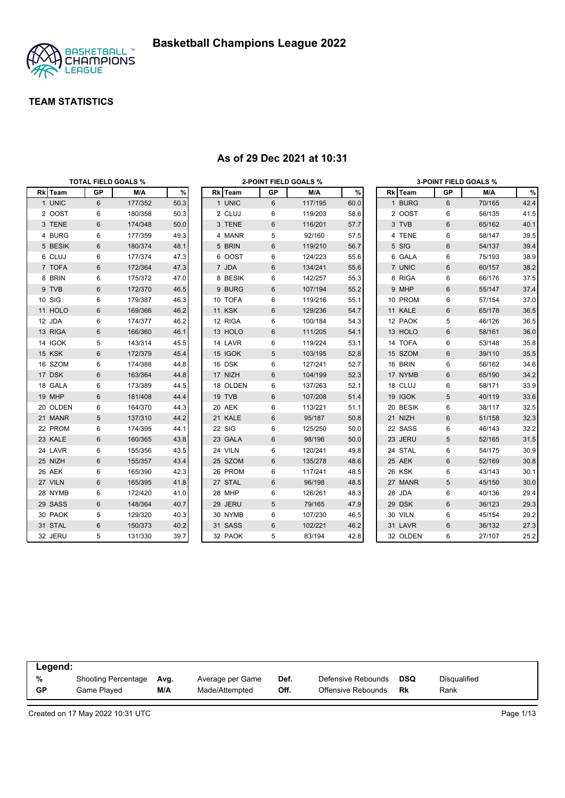

|          | <b>TOTAL FIELD GOALS %</b> |         |      |               |    | <b>2-POINT FIELD GOALS %</b> |      |          |                | <b>3-POINT FIELD GOALS %</b> |      |
|----------|----------------------------|---------|------|---------------|----|------------------------------|------|----------|----------------|------------------------------|------|
| Rk Team  | GP                         | M/A     | $\%$ | Rk Team       | GP | M/A                          | $\%$ | Rk Team  | GP             | M/A                          | $\%$ |
| 1 UNIC   | 6                          | 177/352 | 50.3 | 1 UNIC        | 6  | 117/195                      | 60.0 | 1 BURG   | 6              | 70/165                       | 42.4 |
| 2 OOST   | 6                          | 180/358 | 50.3 | 2 CLUJ        | 6  | 119/203                      | 58.6 | 2 OOST   | 6              | 56/135                       | 41.5 |
| 3 TENE   | 6                          | 174/348 | 50.0 | 3 TENE        | 6  | 116/201                      | 57.7 | 3 TVB    | $\,6$          | 65/162                       | 40.1 |
| 4 BURG   | 6                          | 177/359 | 49.3 | 4 MANR        | 5  | 92/160                       | 57.5 | 4 TENE   | 6              | 58/147                       | 39.5 |
| 5 BESIK  | 6                          | 180/374 | 48.1 | 5 BRIN        | 6  | 119/210                      | 56.7 | 5 SIG    | $6\phantom{1}$ | 54/137                       | 39.4 |
| 6 CLUJ   | 6                          | 177/374 | 47.3 | 6 OOST        | 6  | 124/223                      | 55.6 | 6 GALA   | 6              | 75/193                       | 38.9 |
| 7 TOFA   | 6                          | 172/364 | 47.3 | 7 JDA         | 6  | 134/241                      | 55.6 | 7 UNIC   | $\,6$          | 60/157                       | 38.2 |
| 8 BRIN   | 6                          | 175/372 | 47.0 | 8 BESIK       | 6  | 142/257                      | 55.3 | 8 RIGA   | 6              | 66/176                       | 37.5 |
| 9 TVB    | 6                          | 172/370 | 46.5 | 9 BURG        | 6  | 107/194                      | 55.2 | 9 MHP    | $6\phantom{1}$ | 55/147                       | 37.4 |
| 10 SIG   | 6                          | 179/387 | 46.3 | 10 TOFA       | 6  | 119/216                      | 55.1 | 10 PROM  | 6              | 57/154                       | 37.0 |
| 11 HOLO  | 6                          | 169/366 | 46.2 | <b>11 KSK</b> | 6  | 129/236                      | 54.7 | 11 KALE  | 6              | 65/178                       | 36.5 |
| 12 JDA   | 6                          | 174/377 | 46.2 | 12 RIGA       | 6  | 100/184                      | 54.3 | 12 PAOK  | 5              | 46/126                       | 36.5 |
| 13 RIGA  | 6                          | 166/360 | 46.1 | 13 HOLO       | 6  | 111/205                      | 54.1 | 13 HOLO  | $6\phantom{1}$ | 58/161                       | 36.0 |
| 14 IGOK  | 5                          | 143/314 | 45.5 | 14 LAVR       | 6  | 119/224                      | 53.1 | 14 TOFA  | 6              | 53/148                       | 35.8 |
| 15 KSK   | 6                          | 172/379 | 45.4 | 15 IGOK       | 5  | 103/195                      | 52.8 | 15 SZOM  | $6\phantom{1}$ | 39/110                       | 35.5 |
| 16 SZOM  | 6                          | 174/388 | 44.8 | 16 DSK        | 6  | 127/241                      | 52.7 | 16 BRIN  | 6              | 56/162                       | 34.6 |
| 17 DSK   | 6                          | 163/364 | 44.8 | 17 NIZH       | 6  | 104/199                      | 52.3 | 17 NYMB  | 6              | 65/190                       | 34.2 |
| 18 GALA  | 6                          | 173/389 | 44.5 | 18 OLDEN      | 6  | 137/263                      | 52.1 | 18 CLUJ  | 6              | 58/171                       | 33.9 |
| 19 MHP   | 6                          | 181/408 | 44.4 | 19 TVB        | 6  | 107/208                      | 51.4 | 19 IGOK  | 5              | 40/119                       | 33.6 |
| 20 OLDEN | 6                          | 164/370 | 44.3 | 20 AEK        | 6  | 113/221                      | 51.1 | 20 BESIK | 6              | 38/117                       | 32.5 |
| 21 MANR  | 5                          | 137/310 | 44.2 | 21 KALE       | 6  | 95/187                       | 50.8 | 21 NIZH  | $6\phantom{1}$ | 51/158                       | 32.3 |
| 22 PROM  | 6                          | 174/395 | 44.1 | 22 SIG        | 6  | 125/250                      | 50.0 | 22 SASS  | 6              | 46/143                       | 32.2 |
| 23 KALE  | 6                          | 160/365 | 43.8 | 23 GALA       | 6  | 98/196                       | 50.0 | 23 JERU  | 5              | 52/165                       | 31.5 |
| 24 LAVR  | 6                          | 155/356 | 43.5 | 24 VILN       | 6  | 120/241                      | 49.8 | 24 STAL  | 6              | 54/175                       | 30.9 |
| 25 NIZH  | 6                          | 155/357 | 43.4 | 25 SZOM       | 6  | 135/278                      | 48.6 | 25 AEK   | $\,6$          | 52/169                       | 30.8 |
| 26 AEK   | 6                          | 165/390 | 42.3 | 26 PROM       | 6  | 117/241                      | 48.5 | 26 KSK   | 6              | 43/143                       | 30.1 |
| 27 VILN  | 6                          | 165/395 | 41.8 | 27 STAL       | 6  | 96/198                       | 48.5 | 27 MANR  | 5              | 45/150                       | 30.0 |
| 28 NYMB  | 6                          | 172/420 | 41.0 | 28 MHP        | 6  | 126/261                      | 48.3 | 28 JDA   | 6              | 40/136                       | 29.4 |
| 29 SASS  | 6                          | 148/364 | 40.7 | 29 JERU       | 5  | 79/165                       | 47.9 | 29 DSK   | $\,6$          | 36/123                       | 29.3 |
| 30 PAOK  | 5                          | 129/320 | 40.3 | 30 NYMB       | 6  | 107/230                      | 46.5 | 30 VILN  | 6              | 45/154                       | 29.2 |
| 31 STAL  | 6                          | 150/373 | 40.2 | 31 SASS       | 6  | 102/221                      | 46.2 | 31 LAVR  | $6\phantom{1}$ | 36/132                       | 27.3 |
| 32 JERU  | 5                          | 131/330 | 39.7 | 32 PAOK       | 5  | 83/194                       | 42.8 | 32 OLDEN | 6              | 27/107                       | 25.2 |

#### **As of 29 Dec 2021 at 10:31**

| Legend:   |                     |      |                  |      |                    |            |                     |
|-----------|---------------------|------|------------------|------|--------------------|------------|---------------------|
| %         | Shooting Percentage | Avg. | Average per Game | Def. | Defensive Rebounds | <b>DSQ</b> | <b>Disqualified</b> |
| <b>GP</b> | Game Plaved         | M/A  | Made/Attempted   | Off. | Offensive Rebounds | Rk         | Rank                |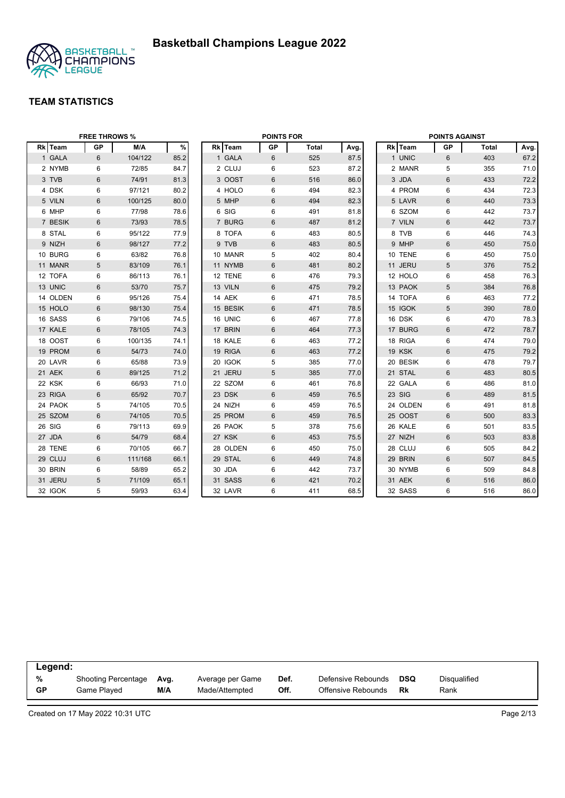

|          | <b>FREE THROWS %</b> |         |      |          | <b>POINTS FOR</b> |              |      |          | <b>POINTS AGAINST</b> |       |      |
|----------|----------------------|---------|------|----------|-------------------|--------------|------|----------|-----------------------|-------|------|
| Rk Team  | <b>GP</b>            | M/A     | $\%$ | Rk Team  | <b>GP</b>         | <b>Total</b> | Avg. | Rk Team  | GP                    | Total | Avg. |
| 1 GALA   | 6                    | 104/122 | 85.2 | 1 GALA   | 6                 | 525          | 87.5 | 1 UNIC   | 6                     | 403   | 67.2 |
| 2 NYMB   | 6                    | 72/85   | 84.7 | 2 CLUJ   | 6                 | 523          | 87.2 | 2 MANR   | 5                     | 355   | 71.0 |
| 3 TVB    | 6                    | 74/91   | 81.3 | 3 OOST   | 6                 | 516          | 86.0 | 3 JDA    | 6                     | 433   | 72.2 |
| 4 DSK    | 6                    | 97/121  | 80.2 | 4 HOLO   | 6                 | 494          | 82.3 | 4 PROM   | 6                     | 434   | 72.3 |
| 5 VILN   | 6                    | 100/125 | 80.0 | 5 MHP    | 6                 | 494          | 82.3 | 5 LAVR   | $6\phantom{1}$        | 440   | 73.3 |
| 6 MHP    | 6                    | 77/98   | 78.6 | 6 SIG    | 6                 | 491          | 81.8 | 6 SZOM   | 6                     | 442   | 73.7 |
| 7 BESIK  | 6                    | 73/93   | 78.5 | 7 BURG   | 6                 | 487          | 81.2 | 7 VILN   | $6\phantom{1}$        | 442   | 73.7 |
| 8 STAL   | 6                    | 95/122  | 77.9 | 8 TOFA   | 6                 | 483          | 80.5 | 8 TVB    | 6                     | 446   | 74.3 |
| 9 NIZH   | 6                    | 98/127  | 77.2 | 9 TVB    | 6                 | 483          | 80.5 | 9 MHP    | 6                     | 450   | 75.0 |
| 10 BURG  | 6                    | 63/82   | 76.8 | 10 MANR  | 5                 | 402          | 80.4 | 10 TENE  | 6                     | 450   | 75.0 |
| 11 MANR  | 5                    | 83/109  | 76.1 | 11 NYMB  | 6                 | 481          | 80.2 | 11 JERU  | 5                     | 376   | 75.2 |
| 12 TOFA  | 6                    | 86/113  | 76.1 | 12 TENE  | 6                 | 476          | 79.3 | 12 HOLO  | 6                     | 458   | 76.3 |
| 13 UNIC  | 6                    | 53/70   | 75.7 | 13 VILN  | 6                 | 475          | 79.2 | 13 PAOK  | $5\phantom{.0}$       | 384   | 76.8 |
| 14 OLDEN | 6                    | 95/126  | 75.4 | 14 AEK   | 6                 | 471          | 78.5 | 14 TOFA  | 6                     | 463   | 77.2 |
| 15 HOLO  | 6                    | 98/130  | 75.4 | 15 BESIK | 6                 | 471          | 78.5 | 15 IGOK  | $5\phantom{.0}$       | 390   | 78.0 |
| 16 SASS  | 6                    | 79/106  | 74.5 | 16 UNIC  | 6                 | 467          | 77.8 | 16 DSK   | 6                     | 470   | 78.3 |
| 17 KALE  | $6\phantom{1}$       | 78/105  | 74.3 | 17 BRIN  | 6                 | 464          | 77.3 | 17 BURG  | $6\phantom{1}$        | 472   | 78.7 |
| 18 OOST  | 6                    | 100/135 | 74.1 | 18 KALE  | 6                 | 463          | 77.2 | 18 RIGA  | 6                     | 474   | 79.0 |
| 19 PROM  | 6                    | 54/73   | 74.0 | 19 RIGA  | 6                 | 463          | 77.2 | 19 KSK   | $6\phantom{1}$        | 475   | 79.2 |
| 20 LAVR  | 6                    | 65/88   | 73.9 | 20 IGOK  | 5                 | 385          | 77.0 | 20 BESIK | 6                     | 478   | 79.7 |
| 21 AEK   | 6                    | 89/125  | 71.2 | 21 JERU  | 5                 | 385          | 77.0 | 21 STAL  | $6\phantom{1}$        | 483   | 80.5 |
| 22 KSK   | 6                    | 66/93   | 71.0 | 22 SZOM  | 6                 | 461          | 76.8 | 22 GALA  | 6                     | 486   | 81.0 |
| 23 RIGA  | 6                    | 65/92   | 70.7 | 23 DSK   | 6                 | 459          | 76.5 | 23 SIG   | $6\phantom{1}$        | 489   | 81.5 |
| 24 PAOK  | 5                    | 74/105  | 70.5 | 24 NIZH  | 6                 | 459          | 76.5 | 24 OLDEN | 6                     | 491   | 81.8 |
| 25 SZOM  | 6                    | 74/105  | 70.5 | 25 PROM  | 6                 | 459          | 76.5 | 25 OOST  | $6\phantom{1}6$       | 500   | 83.3 |
| 26 SIG   | 6                    | 79/113  | 69.9 | 26 PAOK  | 5                 | 378          | 75.6 | 26 KALE  | 6                     | 501   | 83.5 |
| 27 JDA   | $\,6\,$              | 54/79   | 68.4 | 27 KSK   | $6\phantom{1}$    | 453          | 75.5 | 27 NIZH  | $6\phantom{1}$        | 503   | 83.8 |
| 28 TENE  | 6                    | 70/105  | 66.7 | 28 OLDEN | 6                 | 450          | 75.0 | 28 CLUJ  | 6                     | 505   | 84.2 |
| 29 CLUJ  | 6                    | 111/168 | 66.1 | 29 STAL  | 6                 | 449          | 74.8 | 29 BRIN  | $6\phantom{1}$        | 507   | 84.5 |
| 30 BRIN  | 6                    | 58/89   | 65.2 | 30 JDA   | 6                 | 442          | 73.7 | 30 NYMB  | 6                     | 509   | 84.8 |
| 31 JERU  | 5                    | 71/109  | 65.1 | 31 SASS  | 6                 | 421          | 70.2 | 31 AEK   | 6                     | 516   | 86.0 |
| 32 IGOK  | 5                    | 59/93   | 63.4 | 32 LAVR  | 6                 | 411          | 68.5 | 32 SASS  | 6                     | 516   | 86.0 |

| Legend: |                     |      |                  |      |                    |            |              |
|---------|---------------------|------|------------------|------|--------------------|------------|--------------|
| %       | Shooting Percentage | Ava. | Average per Game | Def. | Defensive Rebounds | <b>DSQ</b> | Disqualified |
| GP      | Game Plaved         | M/A  | Made/Attempted   | Off. | Offensive Rebounds | Rk         | Rank         |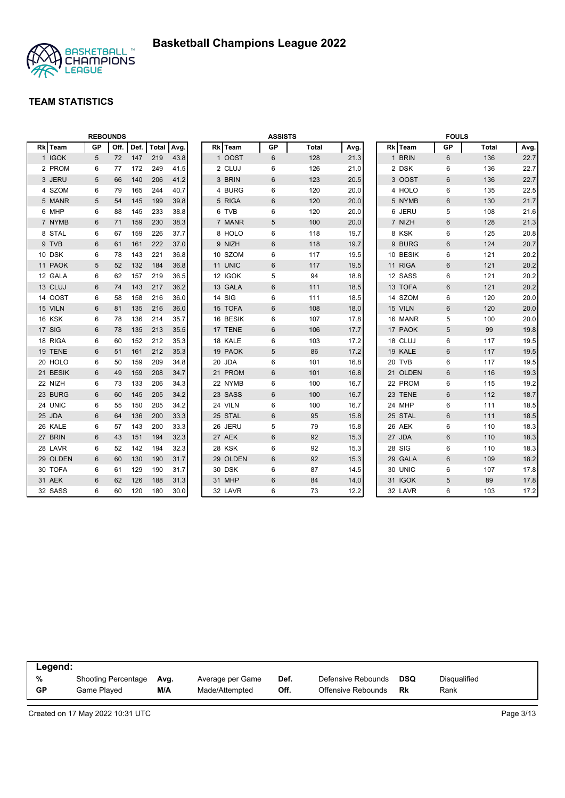

|          |           | <b>REBOUNDS</b> |      |              |      |          | <b>ASSISTS</b> |              |      |          | <b>FOULS</b>   |              |      |
|----------|-----------|-----------------|------|--------------|------|----------|----------------|--------------|------|----------|----------------|--------------|------|
| Rk Team  | <b>GP</b> | Off.            | Def. | <b>Total</b> | Avg. | Rk Team  | <b>GP</b>      | <b>Total</b> | Avg. | Rk Team  | <b>GP</b>      | <b>Total</b> | Avg. |
| 1 IGOK   | 5         | 72              | 147  | 219          | 43.8 | 1 OOST   | 6              | 128          | 21.3 | 1 BRIN   | 6              | 136          | 22.7 |
| 2 PROM   | 6         | 77              | 172  | 249          | 41.5 | 2 CLUJ   | 6              | 126          | 21.0 | 2 DSK    | 6              | 136          | 22.7 |
| 3 JERU   | 5         | 66              | 140  | 206          | 41.2 | 3 BRIN   | 6              | 123          | 20.5 | 3 OOST   | 6              | 136          | 22.7 |
| 4 SZOM   | 6         | 79              | 165  | 244          | 40.7 | 4 BURG   | 6              | 120          | 20.0 | 4 HOLO   | 6              | 135          | 22.5 |
| 5 MANR   | 5         | 54              | 145  | 199          | 39.8 | 5 RIGA   | 6              | 120          | 20.0 | 5 NYMB   | $\,6$          | 130          | 21.7 |
| 6 MHP    | 6         | 88              | 145  | 233          | 38.8 | 6 TVB    | 6              | 120          | 20.0 | 6 JERU   | 5              | 108          | 21.6 |
| 7 NYMB   | 6         | 71              | 159  | 230          | 38.3 | 7 MANR   | 5              | 100          | 20.0 | 7 NIZH   | 6              | 128          | 21.3 |
| 8 STAL   | 6         | 67              | 159  | 226          | 37.7 | 8 HOLO   | 6              | 118          | 19.7 | 8 KSK    | 6              | 125          | 20.8 |
| 9 TVB    | 6         | 61              | 161  | 222          | 37.0 | 9 NIZH   | 6              | 118          | 19.7 | 9 BURG   | 6              | 124          | 20.7 |
| 10 DSK   | 6         | 78              | 143  | 221          | 36.8 | 10 SZOM  | 6              | 117          | 19.5 | 10 BESIK | 6              | 121          | 20.2 |
| 11 PAOK  | 5         | 52              | 132  | 184          | 36.8 | 11 UNIC  | 6              | 117          | 19.5 | 11 RIGA  | 6              | 121          | 20.2 |
| 12 GALA  | 6         | 62              | 157  | 219          | 36.5 | 12 IGOK  | 5              | 94           | 18.8 | 12 SASS  | 6              | 121          | 20.2 |
| 13 CLUJ  | 6         | 74              | 143  | 217          | 36.2 | 13 GALA  | 6              | 111          | 18.5 | 13 TOFA  | 6              | 121          | 20.2 |
| 14 OOST  | 6         | 58              | 158  | 216          | 36.0 | 14 SIG   | 6              | 111          | 18.5 | 14 SZOM  | 6              | 120          | 20.0 |
| 15 VILN  | 6         | 81              | 135  | 216          | 36.0 | 15 TOFA  | 6              | 108          | 18.0 | 15 VILN  | 6              | 120          | 20.0 |
| 16 KSK   | 6         | 78              | 136  | 214          | 35.7 | 16 BESIK | 6              | 107          | 17.8 | 16 MANR  | 5              | 100          | 20.0 |
| 17 SIG   | 6         | 78              | 135  | 213          | 35.5 | 17 TENE  | 6              | 106          | 17.7 | 17 PAOK  | 5              | 99           | 19.8 |
| 18 RIGA  | 6         | 60              | 152  | 212          | 35.3 | 18 KALE  | 6              | 103          | 17.2 | 18 CLUJ  | 6              | 117          | 19.5 |
| 19 TENE  | 6         | 51              | 161  | 212          | 35.3 | 19 PAOK  | 5              | 86           | 17.2 | 19 KALE  | 6              | 117          | 19.5 |
| 20 HOLO  | 6         | 50              | 159  | 209          | 34.8 | 20 JDA   | 6              | 101          | 16.8 | 20 TVB   | 6              | 117          | 19.5 |
| 21 BESIK | 6         | 49              | 159  | 208          | 34.7 | 21 PROM  | 6              | 101          | 16.8 | 21 OLDEN | 6              | 116          | 19.3 |
| 22 NIZH  | 6         | 73              | 133  | 206          | 34.3 | 22 NYMB  | 6              | 100          | 16.7 | 22 PROM  | 6              | 115          | 19.2 |
| 23 BURG  | 6         | 60              | 145  | 205          | 34.2 | 23 SASS  | 6              | 100          | 16.7 | 23 TENE  | $6\phantom{1}$ | 112          | 18.7 |
| 24 UNIC  | 6         | 55              | 150  | 205          | 34.2 | 24 VILN  | 6              | 100          | 16.7 | 24 MHP   | 6              | 111          | 18.5 |
| 25 JDA   | 6         | 64              | 136  | 200          | 33.3 | 25 STAL  | 6              | 95           | 15.8 | 25 STAL  | 6              | 111          | 18.5 |
| 26 KALE  | 6         | 57              | 143  | 200          | 33.3 | 26 JERU  | 5              | 79           | 15.8 | 26 AEK   | 6              | 110          | 18.3 |
| 27 BRIN  | 6         | 43              | 151  | 194          | 32.3 | 27 AEK   | 6              | 92           | 15.3 | 27 JDA   | 6              | 110          | 18.3 |
| 28 LAVR  | 6         | 52              | 142  | 194          | 32.3 | 28 KSK   | 6              | 92           | 15.3 | 28 SIG   | 6              | 110          | 18.3 |
| 29 OLDEN | 6         | 60              | 130  | 190          | 31.7 | 29 OLDEN | 6              | 92           | 15.3 | 29 GALA  | 6              | 109          | 18.2 |
| 30 TOFA  | 6         | 61              | 129  | 190          | 31.7 | 30 DSK   | 6              | 87           | 14.5 | 30 UNIC  | 6              | 107          | 17.8 |
| 31 AEK   | 6         | 62              | 126  | 188          | 31.3 | 31 MHP   | 6              | 84           | 14.0 | 31 IGOK  | 5              | 89           | 17.8 |
| 32 SASS  | 6         | 60              | 120  | 180          | 30.0 | 32 LAVR  | 6              | 73           | 12.2 | 32 LAVR  | 6              | 103          | 17.2 |

| Legend:   |                            |      |                  |      |                    |     |                     |  |
|-----------|----------------------------|------|------------------|------|--------------------|-----|---------------------|--|
| %         | <b>Shooting Percentage</b> | Ava. | Average per Game | Def. | Defensive Rebounds | DSQ | <b>Disqualified</b> |  |
| <b>GP</b> | Game Plaved                | M/A  | Made/Attempted   | Off. | Offensive Rebounds | Rk  | Rank                |  |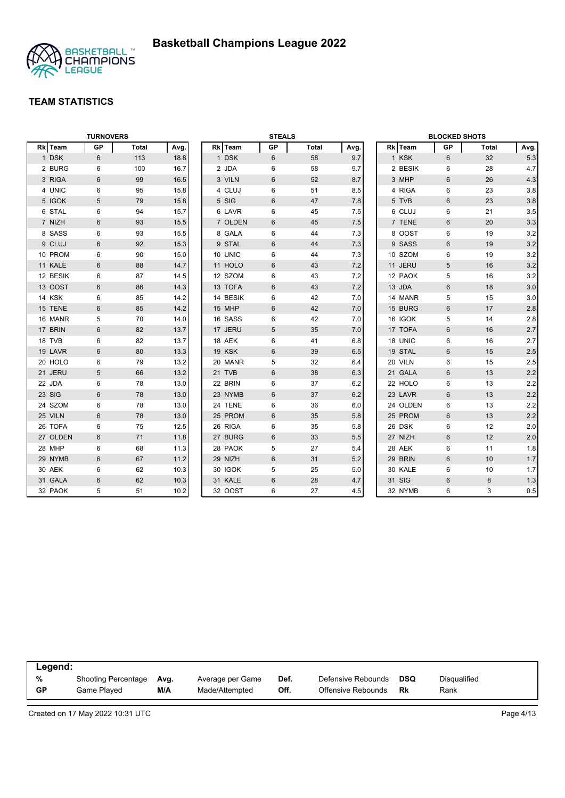

|          | <b>TURNOVERS</b> |              |      |          | <b>STEALS</b> |              |      |          | <b>BLOCKED SHOTS</b> |       |         |
|----------|------------------|--------------|------|----------|---------------|--------------|------|----------|----------------------|-------|---------|
| Rk Team  | <b>GP</b>        | <b>Total</b> | Avg. | Rk Team  | GP            | <b>Total</b> | Avg. | Rk Team  | GP                   | Total | Avg.    |
| 1 DSK    | 6                | 113          | 18.8 | 1 DSK    | 6             | 58           | 9.7  | 1 KSK    | 6                    | 32    | 5.3     |
| 2 BURG   | 6                | 100          | 16.7 | 2 JDA    | 6             | 58           | 9.7  | 2 BESIK  | 6                    | 28    | 4.7     |
| 3 RIGA   | $6\phantom{1}$   | 99           | 16.5 | 3 VILN   | 6             | 52           | 8.7  | 3 MHP    | 6                    | 26    | 4.3     |
| 4 UNIC   | 6                | 95           | 15.8 | 4 CLUJ   | 6             | 51           | 8.5  | 4 RIGA   | 6                    | 23    | 3.8     |
| 5 IGOK   | 5                | 79           | 15.8 | 5 SIG    | 6             | 47           | 7.8  | 5 TVB    | $6\phantom{1}$       | 23    | 3.8     |
| 6 STAL   | 6                | 94           | 15.7 | 6 LAVR   | 6             | 45           | 7.5  | 6 CLUJ   | 6                    | 21    | 3.5     |
| 7 NIZH   | $6\phantom{1}$   | 93           | 15.5 | 7 OLDEN  | 6             | 45           | 7.5  | 7 TENE   | $6\phantom{1}$       | 20    | 3.3     |
| 8 SASS   | 6                | 93           | 15.5 | 8 GALA   | 6             | 44           | 7.3  | 8 OOST   | $\,6\,$              | 19    | 3.2     |
| 9 CLUJ   | 6                | 92           | 15.3 | 9 STAL   | 6             | 44           | 7.3  | 9 SASS   | 6                    | 19    | 3.2     |
| 10 PROM  | 6                | 90           | 15.0 | 10 UNIC  | 6             | 44           | 7.3  | 10 SZOM  | 6                    | 19    | 3.2     |
| 11 KALE  | 6                | 88           | 14.7 | 11 HOLO  | 6             | 43           | 7.2  | 11 JERU  | 5                    | 16    | $3.2\,$ |
| 12 BESIK | 6                | 87           | 14.5 | 12 SZOM  | 6             | 43           | 7.2  | 12 PAOK  | 5                    | 16    | 3.2     |
| 13 OOST  | 6                | 86           | 14.3 | 13 TOFA  | 6             | 43           | 7.2  | 13 JDA   | $6\phantom{1}$       | 18    | 3.0     |
| 14 KSK   | 6                | 85           | 14.2 | 14 BESIK | 6             | 42           | 7.0  | 14 MANR  | 5                    | 15    | 3.0     |
| 15 TENE  | $6\phantom{1}$   | 85           | 14.2 | 15 MHP   | 6             | 42           | 7.0  | 15 BURG  | $6\phantom{1}$       | 17    | $2.8\,$ |
| 16 MANR  | 5                | 70           | 14.0 | 16 SASS  | 6             | 42           | 7.0  | 16 IGOK  | 5                    | 14    | 2.8     |
| 17 BRIN  | $6\phantom{1}$   | 82           | 13.7 | 17 JERU  | 5             | 35           | 7.0  | 17 TOFA  | $6\phantom{1}$       | 16    | 2.7     |
| 18 TVB   | 6                | 82           | 13.7 | 18 AEK   | 6             | 41           | 6.8  | 18 UNIC  | 6                    | 16    | 2.7     |
| 19 LAVR  | 6                | 80           | 13.3 | 19 KSK   | 6             | 39           | 6.5  | 19 STAL  | $6\phantom{1}$       | 15    | 2.5     |
| 20 HOLO  | 6                | 79           | 13.2 | 20 MANR  | 5             | 32           | 6.4  | 20 VILN  | 6                    | 15    | 2.5     |
| 21 JERU  | 5                | 66           | 13.2 | 21 TVB   | 6             | 38           | 6.3  | 21 GALA  | 6                    | 13    | $2.2\,$ |
| 22 JDA   | 6                | 78           | 13.0 | 22 BRIN  | 6             | 37           | 6.2  | 22 HOLO  | 6                    | 13    | 2.2     |
| 23 SIG   | 6                | 78           | 13.0 | 23 NYMB  | 6             | 37           | 6.2  | 23 LAVR  | $6\phantom{1}$       | 13    | $2.2\,$ |
| 24 SZOM  | 6                | 78           | 13.0 | 24 TENE  | 6             | 36           | 6.0  | 24 OLDEN | 6                    | 13    | 2.2     |
| 25 VILN  | $6\phantom{1}$   | 78           | 13.0 | 25 PROM  | 6             | 35           | 5.8  | 25 PROM  | 6                    | 13    | 2.2     |
| 26 TOFA  | 6                | 75           | 12.5 | 26 RIGA  | 6             | 35           | 5.8  | 26 DSK   | 6                    | 12    | 2.0     |
| 27 OLDEN | $6\phantom{1}$   | 71           | 11.8 | 27 BURG  | 6             | 33           | 5.5  | 27 NIZH  | $6\,$                | 12    | 2.0     |
| 28 MHP   | 6                | 68           | 11.3 | 28 PAOK  | 5             | 27           | 5.4  | 28 AEK   | 6                    | 11    | 1.8     |
| 29 NYMB  | 6                | 67           | 11.2 | 29 NIZH  | 6             | 31           | 5.2  | 29 BRIN  | 6                    | 10    | 1.7     |
| 30 AEK   | 6                | 62           | 10.3 | 30 IGOK  | 5             | 25           | 5.0  | 30 KALE  | 6                    | 10    | 1.7     |
| 31 GALA  | 6                | 62           | 10.3 | 31 KALE  | 6             | 28           | 4.7  | 31 SIG   | 6                    | 8     | 1.3     |
| 32 PAOK  | 5                | 51           | 10.2 | 32 OOST  | 6             | 27           | 4.5  | 32 NYMB  | 6                    | 3     | $0.5\,$ |

| Legend: |                            |      |                  |      |                    |     |              |  |
|---------|----------------------------|------|------------------|------|--------------------|-----|--------------|--|
| %       | <b>Shooting Percentage</b> | Avg. | Average per Game | Def. | Defensive Rebounds | DSQ | Disqualified |  |
| GP      | Game Played                | M/A  | Made/Attempted   | Off. | Offensive Rebounds | Rk  | Rank         |  |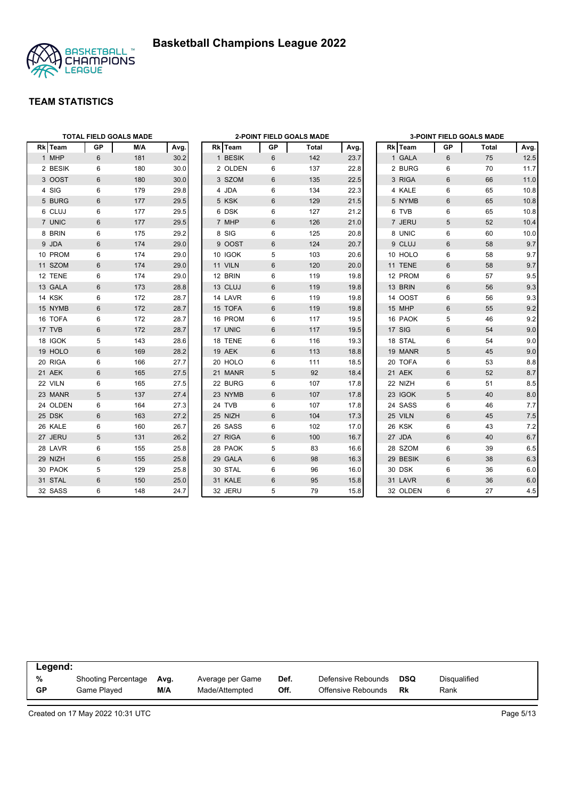



|          |                 | <b>TOTAL FIELD GOALS MADE</b> |      |         |           | <b>2-POINT FIELD GOALS MADE</b> |      |          |                | <b>3-POINT FIELD GOALS MADE</b> |       |
|----------|-----------------|-------------------------------|------|---------|-----------|---------------------------------|------|----------|----------------|---------------------------------|-------|
| Rk Team  | <b>GP</b>       | M/A                           | Avg. | Rk Team | <b>GP</b> | Total                           | Avg. | Rk Team  | <b>GP</b>      | Total                           | Avg.  |
| 1 MHP    | 6               | 181                           | 30.2 | 1 BESIK | 6         | 142                             | 23.7 | 1 GALA   | 6              | 75                              | 12.5  |
| 2 BESIK  | 6               | 180                           | 30.0 | 2 OLDEN | 6         | 137                             | 22.8 | 2 BURG   | 6              | 70                              | 11.7  |
| 3 OOST   | $6\phantom{1}$  | 180                           | 30.0 | 3 SZOM  | 6         | 135                             | 22.5 | 3 RIGA   | $6\,$          | 66                              | 11.0  |
| 4 SIG    | 6               | 179                           | 29.8 | 4 JDA   | 6         | 134                             | 22.3 | 4 KALE   | 6              | 65                              | 10.8  |
| 5 BURG   | $6\phantom{1}$  | 177                           | 29.5 | 5 KSK   | 6         | 129                             | 21.5 | 5 NYMB   | 6              | 65                              | 10.8  |
| 6 CLUJ   | 6               | 177                           | 29.5 | 6 DSK   | 6         | 127                             | 21.2 | 6 TVB    | 6              | 65                              | 10.8  |
| 7 UNIC   | 6               | 177                           | 29.5 | 7 MHP   | 6         | 126                             | 21.0 | 7 JERU   | 5              | 52                              | 10.4  |
| 8 BRIN   | 6               | 175                           | 29.2 | 8 SIG   | 6         | 125                             | 20.8 | 8 UNIC   | 6              | 60                              | 10.0  |
| 9 JDA    | $6\phantom{1}$  | 174                           | 29.0 | 9 OOST  | 6         | 124                             | 20.7 | 9 CLUJ   | 6              | 58                              | 9.7   |
| 10 PROM  | 6               | 174                           | 29.0 | 10 IGOK | 5         | 103                             | 20.6 | 10 HOLO  | 6              | 58                              | 9.7   |
| 11 SZOM  | 6               | 174                           | 29.0 | 11 VILN | 6         | 120                             | 20.0 | 11 TENE  | 6              | 58                              | 9.7   |
| 12 TENE  | 6               | 174                           | 29.0 | 12 BRIN | 6         | 119                             | 19.8 | 12 PROM  | 6              | 57                              | 9.5   |
| 13 GALA  | 6               | 173                           | 28.8 | 13 CLUJ | 6         | 119                             | 19.8 | 13 BRIN  | 6              | 56                              | 9.3   |
| 14 KSK   | 6               | 172                           | 28.7 | 14 LAVR | 6         | 119                             | 19.8 | 14 OOST  | 6              | 56                              | 9.3   |
| 15 NYMB  | 6               | 172                           | 28.7 | 15 TOFA | 6         | 119                             | 19.8 | 15 MHP   | 6              | 55                              | 9.2   |
| 16 TOFA  | 6               | 172                           | 28.7 | 16 PROM | 6         | 117                             | 19.5 | 16 PAOK  | 5              | 46                              | 9.2   |
| 17 TVB   | $6\phantom{1}$  | 172                           | 28.7 | 17 UNIC | 6         | 117                             | 19.5 | 17 SIG   | 6              | 54                              | 9.0   |
| 18 IGOK  | 5               | 143                           | 28.6 | 18 TENE | 6         | 116                             | 19.3 | 18 STAL  | 6              | 54                              | 9.0   |
| 19 HOLO  | $6\phantom{1}$  | 169                           | 28.2 | 19 AEK  | 6         | 113                             | 18.8 | 19 MANR  | 5              | 45                              | 9.0   |
| 20 RIGA  | 6               | 166                           | 27.7 | 20 HOLO | 6         | 111                             | 18.5 | 20 TOFA  | 6              | 53                              | 8.8   |
| 21 AEK   | $6\phantom{1}$  | 165                           | 27.5 | 21 MANR | 5         | 92                              | 18.4 | 21 AEK   | 6              | 52                              | 8.7   |
| 22 VILN  | 6               | 165                           | 27.5 | 22 BURG | 6         | 107                             | 17.8 | 22 NIZH  | 6              | 51                              | 8.5   |
| 23 MANR  | 5               | 137                           | 27.4 | 23 NYMB | 6         | 107                             | 17.8 | 23 IGOK  | 5              | 40                              | 8.0   |
| 24 OLDEN | 6               | 164                           | 27.3 | 24 TVB  | 6         | 107                             | 17.8 | 24 SASS  | 6              | 46                              | 7.7   |
| 25 DSK   | 6               | 163                           | 27.2 | 25 NIZH | 6         | 104                             | 17.3 | 25 VILN  | 6              | 45                              | $7.5$ |
| 26 KALE  | 6               | 160                           | 26.7 | 26 SASS | 6         | 102                             | 17.0 | 26 KSK   | 6              | 43                              | 7.2   |
| 27 JERU  | 5               | 131                           | 26.2 | 27 RIGA | 6         | 100                             | 16.7 | 27 JDA   | 6              | 40                              | 6.7   |
| 28 LAVR  | 6               | 155                           | 25.8 | 28 PAOK | 5         | 83                              | 16.6 | 28 SZOM  | 6              | 39                              | 6.5   |
| 29 NIZH  | 6               | 155                           | 25.8 | 29 GALA | 6         | 98                              | 16.3 | 29 BESIK | 6              | 38                              | 6.3   |
| 30 PAOK  | 5               | 129                           | 25.8 | 30 STAL | 6         | 96                              | 16.0 | 30 DSK   | 6              | 36                              | 6.0   |
| 31 STAL  | $6\phantom{1}6$ | 150                           | 25.0 | 31 KALE | 6         | 95                              | 15.8 | 31 LAVR  | $6\phantom{1}$ | 36                              | 6.0   |
| 32 SASS  | 6               | 148                           | 24.7 | 32 JERU | 5         | 79                              | 15.8 | 32 OLDEN | 6              | 27                              | 4.5   |

| Legend:   |                     |      |                  |      |                    |            |              |
|-----------|---------------------|------|------------------|------|--------------------|------------|--------------|
| %         | Shooting Percentage | Avg. | Average per Game | Def. | Defensive Rebounds | <b>DSQ</b> | Disgualified |
| <b>GP</b> | Game Played         | M/A  | Made/Attempted   | Off. | Offensive Rebounds | Rk         | Rank         |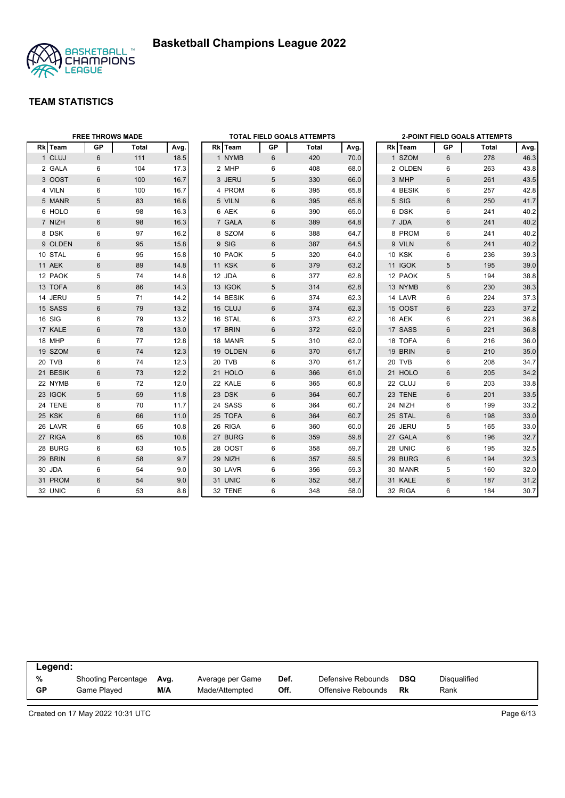



|          | <b>FREE THROWS MADE</b> |       |      |          |    | <b>TOTAL FIELD GOALS ATTEMPTS</b> |      |               |                | <b>2-POINT FIELD GOALS ATTEMPTS</b> |      |
|----------|-------------------------|-------|------|----------|----|-----------------------------------|------|---------------|----------------|-------------------------------------|------|
| Rk Team  | GP                      | Total | Avg. | Rk Team  | GP | Total                             | Avg. | Rk Team       | GP             | Total                               | Avg. |
| 1 CLUJ   | 6                       | 111   | 18.5 | 1 NYMB   | 6  | 420                               | 70.0 | 1 SZOM        | 6              | 278                                 | 46.3 |
| 2 GALA   | 6                       | 104   | 17.3 | 2 MHP    | 6  | 408                               | 68.0 | 2 OLDEN       | 6              | 263                                 | 43.8 |
| 3 OOST   | 6                       | 100   | 16.7 | 3 JERU   | 5  | 330                               | 66.0 | 3 MHP         | 6              | 261                                 | 43.5 |
| 4 VILN   | 6                       | 100   | 16.7 | 4 PROM   | 6  | 395                               | 65.8 | 4 BESIK       | 6              | 257                                 | 42.8 |
| 5 MANR   | 5                       | 83    | 16.6 | 5 VILN   | 6  | 395                               | 65.8 | 5 SIG         | 6              | 250                                 | 41.7 |
| 6 HOLO   | 6                       | 98    | 16.3 | 6 AEK    | 6  | 390                               | 65.0 | 6 DSK         | 6              | 241                                 | 40.2 |
| 7 NIZH   | 6                       | 98    | 16.3 | 7 GALA   | 6  | 389                               | 64.8 | 7 JDA         | 6              | 241                                 | 40.2 |
| 8 DSK    | 6                       | 97    | 16.2 | 8 SZOM   | 6  | 388                               | 64.7 | 8 PROM        | 6              | 241                                 | 40.2 |
| 9 OLDEN  | 6                       | 95    | 15.8 | 9 SIG    | 6  | 387                               | 64.5 | 9 VILN        | 6              | 241                                 | 40.2 |
| 10 STAL  | 6                       | 95    | 15.8 | 10 PAOK  | 5  | 320                               | 64.0 | <b>10 KSK</b> | 6              | 236                                 | 39.3 |
| 11 AEK   | 6                       | 89    | 14.8 | 11 KSK   | 6  | 379                               | 63.2 | 11 IGOK       | 5              | 195                                 | 39.0 |
| 12 PAOK  | 5                       | 74    | 14.8 | 12 JDA   | 6  | 377                               | 62.8 | 12 PAOK       | 5              | 194                                 | 38.8 |
| 13 TOFA  | $6\phantom{1}$          | 86    | 14.3 | 13 IGOK  | 5  | 314                               | 62.8 | 13 NYMB       | 6              | 230                                 | 38.3 |
| 14 JERU  | 5                       | 71    | 14.2 | 14 BESIK | 6  | 374                               | 62.3 | 14 LAVR       | 6              | 224                                 | 37.3 |
| 15 SASS  | 6                       | 79    | 13.2 | 15 CLUJ  | 6  | 374                               | 62.3 | 15 OOST       | 6              | 223                                 | 37.2 |
| 16 SIG   | 6                       | 79    | 13.2 | 16 STAL  | 6  | 373                               | 62.2 | 16 AEK        | 6              | 221                                 | 36.8 |
| 17 KALE  | 6                       | 78    | 13.0 | 17 BRIN  | 6  | 372                               | 62.0 | 17 SASS       | 6              | 221                                 | 36.8 |
| 18 MHP   | 6                       | 77    | 12.8 | 18 MANR  | 5  | 310                               | 62.0 | 18 TOFA       | 6              | 216                                 | 36.0 |
| 19 SZOM  | 6                       | 74    | 12.3 | 19 OLDEN | 6  | 370                               | 61.7 | 19 BRIN       | $6\phantom{1}$ | 210                                 | 35.0 |
| 20 TVB   | 6                       | 74    | 12.3 | 20 TVB   | 6  | 370                               | 61.7 | 20 TVB        | 6              | 208                                 | 34.7 |
| 21 BESIK | 6                       | 73    | 12.2 | 21 HOLO  | 6  | 366                               | 61.0 | 21 HOLO       | 6              | 205                                 | 34.2 |
| 22 NYMB  | 6                       | 72    | 12.0 | 22 KALE  | 6  | 365                               | 60.8 | 22 CLUJ       | 6              | 203                                 | 33.8 |
| 23 IGOK  | 5                       | 59    | 11.8 | 23 DSK   | 6  | 364                               | 60.7 | 23 TENE       | 6              | 201                                 | 33.5 |
| 24 TENE  | 6                       | 70    | 11.7 | 24 SASS  | 6  | 364                               | 60.7 | 24 NIZH       | 6              | 199                                 | 33.2 |
| 25 KSK   | 6                       | 66    | 11.0 | 25 TOFA  | 6  | 364                               | 60.7 | 25 STAL       | 6              | 198                                 | 33.0 |
| 26 LAVR  | 6                       | 65    | 10.8 | 26 RIGA  | 6  | 360                               | 60.0 | 26 JERU       | 5              | 165                                 | 33.0 |
| 27 RIGA  | $6\phantom{1}$          | 65    | 10.8 | 27 BURG  | 6  | 359                               | 59.8 | 27 GALA       | $6\phantom{a}$ | 196                                 | 32.7 |
| 28 BURG  | 6                       | 63    | 10.5 | 28 OOST  | 6  | 358                               | 59.7 | 28 UNIC       | 6              | 195                                 | 32.5 |
| 29 BRIN  | 6                       | 58    | 9.7  | 29 NIZH  | 6  | 357                               | 59.5 | 29 BURG       | 6              | 194                                 | 32.3 |
| 30 JDA   | 6                       | 54    | 9.0  | 30 LAVR  | 6  | 356                               | 59.3 | 30 MANR       | 5              | 160                                 | 32.0 |
| 31 PROM  | 6                       | 54    | 9.0  | 31 UNIC  | 6  | 352                               | 58.7 | 31 KALE       | 6              | 187                                 | 31.2 |
| 32 UNIC  | 6                       | 53    | 8.8  | 32 TENE  | 6  | 348                               | 58.0 | 32 RIGA       | 6              | 184                                 | 30.7 |

| Legend:   |                            |      |                  |      |                    |     |              |
|-----------|----------------------------|------|------------------|------|--------------------|-----|--------------|
| %         | <b>Shooting Percentage</b> | Ava. | Average per Game | Def. | Defensive Rebounds | DSQ | Disqualified |
| <b>GP</b> | Game Plaved                | M/A  | Made/Attempted   | Off. | Offensive Rebounds | Rk  | Rank         |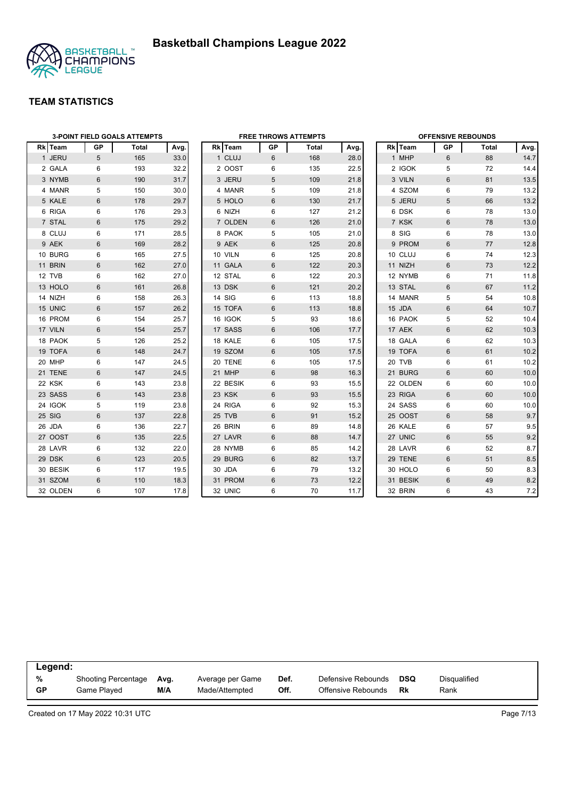

|          | <b>3-POINT FIELD GOALS ATTEMPTS</b> |       |      |  | <b>FREE THROWS ATTEMPTS</b> |                |       |      |  | <b>OFFENSIVE REBOUNDS</b> |                |       |      |  |
|----------|-------------------------------------|-------|------|--|-----------------------------|----------------|-------|------|--|---------------------------|----------------|-------|------|--|
| Rk Team  | GP                                  | Total | Avg. |  | Rk Team                     | GP             | Total | Avg. |  | Rk Team                   | GP             | Total | Avg. |  |
| 1 JERU   | 5                                   | 165   | 33.0 |  | 1 CLUJ                      | 6              | 168   | 28.0 |  | 1 MHP                     | 6              | 88    | 14.7 |  |
| 2 GALA   | 6                                   | 193   | 32.2 |  | 2 OOST                      | 6              | 135   | 22.5 |  | 2 IGOK                    | 5              | 72    | 14.4 |  |
| 3 NYMB   | 6                                   | 190   | 31.7 |  | 3 JERU                      | 5              | 109   | 21.8 |  | 3 VILN                    | 6              | 81    | 13.5 |  |
| 4 MANR   | 5                                   | 150   | 30.0 |  | 4 MANR                      | 5              | 109   | 21.8 |  | 4 SZOM                    | 6              | 79    | 13.2 |  |
| 5 KALE   | 6                                   | 178   | 29.7 |  | 5 HOLO                      | 6              | 130   | 21.7 |  | 5 JERU                    | 5              | 66    | 13.2 |  |
| 6 RIGA   | 6                                   | 176   | 29.3 |  | 6 NIZH                      | 6              | 127   | 21.2 |  | 6 DSK                     | 6              | 78    | 13.0 |  |
| 7 STAL   | $6\phantom{1}$                      | 175   | 29.2 |  | 7 OLDEN                     | 6              | 126   | 21.0 |  | 7 KSK                     | $\,6\,$        | 78    | 13.0 |  |
| 8 CLUJ   | 6                                   | 171   | 28.5 |  | 8 PAOK                      | 5              | 105   | 21.0 |  | 8 SIG                     | 6              | 78    | 13.0 |  |
| 9 AEK    | $6\phantom{1}$                      | 169   | 28.2 |  | 9 AEK                       | 6              | 125   | 20.8 |  | 9 PROM                    | 6              | 77    | 12.8 |  |
| 10 BURG  | 6                                   | 165   | 27.5 |  | 10 VILN                     | 6              | 125   | 20.8 |  | 10 CLUJ                   | 6              | 74    | 12.3 |  |
| 11 BRIN  | 6                                   | 162   | 27.0 |  | 11 GALA                     | 6              | 122   | 20.3 |  | 11 NIZH                   | 6              | 73    | 12.2 |  |
| 12 TVB   | 6                                   | 162   | 27.0 |  | 12 STAL                     | 6              | 122   | 20.3 |  | 12 NYMB                   | 6              | 71    | 11.8 |  |
| 13 HOLO  | $6\phantom{1}$                      | 161   | 26.8 |  | 13 DSK                      | 6              | 121   | 20.2 |  | 13 STAL                   | $\,6\,$        | 67    | 11.2 |  |
| 14 NIZH  | 6                                   | 158   | 26.3 |  | 14 SIG                      | 6              | 113   | 18.8 |  | 14 MANR                   | 5              | 54    | 10.8 |  |
| 15 UNIC  | 6                                   | 157   | 26.2 |  | 15 TOFA                     | 6              | 113   | 18.8 |  | 15 JDA                    | $6\phantom{1}$ | 64    | 10.7 |  |
| 16 PROM  | 6                                   | 154   | 25.7 |  | 16 IGOK                     | 5              | 93    | 18.6 |  | 16 PAOK                   | 5              | 52    | 10.4 |  |
| 17 VILN  | 6                                   | 154   | 25.7 |  | 17 SASS                     | 6              | 106   | 17.7 |  | 17 AEK                    | 6              | 62    | 10.3 |  |
| 18 PAOK  | 5                                   | 126   | 25.2 |  | 18 KALE                     | 6              | 105   | 17.5 |  | 18 GALA                   | 6              | 62    | 10.3 |  |
| 19 TOFA  | $6\phantom{1}$                      | 148   | 24.7 |  | 19 SZOM                     | 6              | 105   | 17.5 |  | 19 TOFA                   | 6              | 61    | 10.2 |  |
| 20 MHP   | 6                                   | 147   | 24.5 |  | 20 TENE                     | 6              | 105   | 17.5 |  | 20 TVB                    | 6              | 61    | 10.2 |  |
| 21 TENE  | $6\phantom{1}$                      | 147   | 24.5 |  | 21 MHP                      | $6\phantom{1}$ | 98    | 16.3 |  | 21 BURG                   | 6              | 60    | 10.0 |  |
| 22 KSK   | 6                                   | 143   | 23.8 |  | 22 BESIK                    | 6              | 93    | 15.5 |  | 22 OLDEN                  | 6              | 60    | 10.0 |  |
| 23 SASS  | 6                                   | 143   | 23.8 |  | 23 KSK                      | 6              | 93    | 15.5 |  | 23 RIGA                   | 6              | 60    | 10.0 |  |
| 24 IGOK  | 5                                   | 119   | 23.8 |  | 24 RIGA                     | 6              | 92    | 15.3 |  | 24 SASS                   | 6              | 60    | 10.0 |  |
| 25 SIG   | $6\phantom{1}$                      | 137   | 22.8 |  | 25 TVB                      | 6              | 91    | 15.2 |  | 25 OOST                   | 6              | 58    | 9.7  |  |
| 26 JDA   | 6                                   | 136   | 22.7 |  | 26 BRIN                     | 6              | 89    | 14.8 |  | 26 KALE                   | 6              | 57    | 9.5  |  |
| 27 OOST  | 6                                   | 135   | 22.5 |  | 27 LAVR                     | 6              | 88    | 14.7 |  | 27 UNIC                   | 6              | 55    | 9.2  |  |
| 28 LAVR  | 6                                   | 132   | 22.0 |  | 28 NYMB                     | 6              | 85    | 14.2 |  | 28 LAVR                   | 6              | 52    | 8.7  |  |
| 29 DSK   | 6                                   | 123   | 20.5 |  | 29 BURG                     | 6              | 82    | 13.7 |  | 29 TENE                   | 6              | 51    | 8.5  |  |
| 30 BESIK | 6                                   | 117   | 19.5 |  | 30 JDA                      | 6              | 79    | 13.2 |  | 30 HOLO                   | 6              | 50    | 8.3  |  |
| 31 SZOM  | 6                                   | 110   | 18.3 |  | 31 PROM                     | 6              | 73    | 12.2 |  | 31 BESIK                  | 6              | 49    | 8.2  |  |
| 32 OLDEN | 6                                   | 107   | 17.8 |  | 32 UNIC                     | 6              | 70    | 11.7 |  | 32 BRIN                   | 6              | 43    | 7.2  |  |

| Legend:   |                     |      |                  |      |                    |            |                     |  |
|-----------|---------------------|------|------------------|------|--------------------|------------|---------------------|--|
| %         | Shooting Percentage | Ava. | Average per Game | Def. | Defensive Rebounds | <b>DSQ</b> | <b>Disqualified</b> |  |
| <b>GP</b> | Game Plaved         | M/A  | Made/Attempted   | Off. | Offensive Rebounds | <b>Rk</b>  | Rank                |  |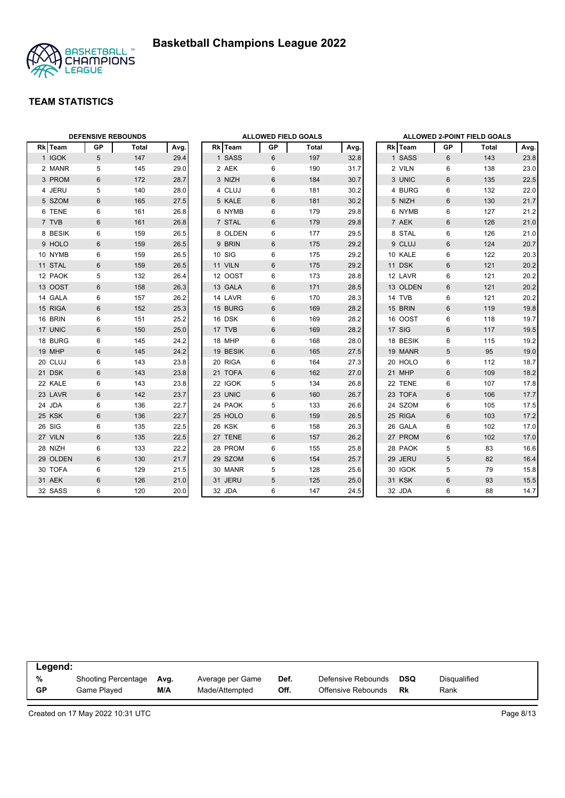



| <b>DEFENSIVE REBOUNDS</b> |                 |       |      |  | <b>ALLOWED FIELD GOALS</b> |    |       |      |  | <b>ALLOWED 2-POINT FIELD GOALS</b> |                |       |      |
|---------------------------|-----------------|-------|------|--|----------------------------|----|-------|------|--|------------------------------------|----------------|-------|------|
| Rk Team                   | <b>GP</b>       | Total | Avg. |  | Rk Team                    | GP | Total | Avg. |  | Rk Team                            | GP             | Total | Avg. |
| 1 IGOK                    | $5\phantom{.0}$ | 147   | 29.4 |  | 1 SASS                     | 6  | 197   | 32.8 |  | 1 SASS                             | 6              | 143   | 23.8 |
| 2 MANR                    | 5               | 145   | 29.0 |  | 2 AEK                      | 6  | 190   | 31.7 |  | 2 VILN                             | 6              | 138   | 23.0 |
| 3 PROM                    | $6\phantom{1}$  | 172   | 28.7 |  | 3 NIZH                     | 6  | 184   | 30.7 |  | 3 UNIC                             | $6\phantom{1}$ | 135   | 22.5 |
| 4 JERU                    | 5               | 140   | 28.0 |  | 4 CLUJ                     | 6  | 181   | 30.2 |  | 4 BURG                             | 6              | 132   | 22.0 |
| 5 SZOM                    | $6\phantom{1}$  | 165   | 27.5 |  | 5 KALE                     | 6  | 181   | 30.2 |  | 5 NIZH                             | 6              | 130   | 21.7 |
| 6 TENE                    | 6               | 161   | 26.8 |  | 6 NYMB                     | 6  | 179   | 29.8 |  | 6 NYMB                             | 6              | 127   | 21.2 |
| 7 TVB                     | 6               | 161   | 26.8 |  | 7 STAL                     | 6  | 179   | 29.8 |  | 7 AEK                              | $6\phantom{1}$ | 126   | 21.0 |
| 8 BESIK                   | 6               | 159   | 26.5 |  | 8 OLDEN                    | 6  | 177   | 29.5 |  | 8 STAL                             | 6              | 126   | 21.0 |
| 9 HOLO                    | $6\phantom{1}$  | 159   | 26.5 |  | 9 BRIN                     | 6  | 175   | 29.2 |  | 9 CLUJ                             | 6              | 124   | 20.7 |
| 10 NYMB                   | 6               | 159   | 26.5 |  | 10 SIG                     | 6  | 175   | 29.2 |  | 10 KALE                            | 6              | 122   | 20.3 |
| 11 STAL                   | 6               | 159   | 26.5 |  | 11 VILN                    | 6  | 175   | 29.2 |  | 11 DSK                             | 6              | 121   | 20.2 |
| 12 PAOK                   | 5               | 132   | 26.4 |  | 12 OOST                    | 6  | 173   | 28.8 |  | 12 LAVR                            | $\,6$          | 121   | 20.2 |
| 13 OOST                   | $6\phantom{1}$  | 158   | 26.3 |  | 13 GALA                    | 6  | 171   | 28.5 |  | 13 OLDEN                           | $6\phantom{1}$ | 121   | 20.2 |
| 14 GALA                   | 6               | 157   | 26.2 |  | 14 LAVR                    | 6  | 170   | 28.3 |  | 14 TVB                             | 6              | 121   | 20.2 |
| 15 RIGA                   | $6\phantom{1}$  | 152   | 25.3 |  | 15 BURG                    | 6  | 169   | 28.2 |  | 15 BRIN                            | 6              | 119   | 19.8 |
| 16 BRIN                   | 6               | 151   | 25.2 |  | 16 DSK                     | 6  | 169   | 28.2 |  | 16 OOST                            | 6              | 118   | 19.7 |
| 17 UNIC                   | 6               | 150   | 25.0 |  | 17 TVB                     | 6  | 169   | 28.2 |  | 17 SIG                             | 6              | 117   | 19.5 |
| 18 BURG                   | 6               | 145   | 24.2 |  | 18 MHP                     | 6  | 168   | 28.0 |  | 18 BESIK                           | 6              | 115   | 19.2 |
| 19 MHP                    | $6\phantom{1}$  | 145   | 24.2 |  | 19 BESIK                   | 6  | 165   | 27.5 |  | 19 MANR                            | 5              | 95    | 19.0 |
| 20 CLUJ                   | 6               | 143   | 23.8 |  | 20 RIGA                    | 6  | 164   | 27.3 |  | 20 HOLO                            | 6              | 112   | 18.7 |
| 21 DSK                    | 6               | 143   | 23.8 |  | 21 TOFA                    | 6  | 162   | 27.0 |  | 21 MHP                             | $6\phantom{1}$ | 109   | 18.2 |
| 22 KALE                   | 6               | 143   | 23.8 |  | 22 IGOK                    | 5  | 134   | 26.8 |  | 22 TENE                            | $\,6\,$        | 107   | 17.8 |
| 23 LAVR                   | $6\phantom{1}$  | 142   | 23.7 |  | 23 UNIC                    | 6  | 160   | 26.7 |  | 23 TOFA                            | $6\,$          | 106   | 17.7 |
| 24 JDA                    | 6               | 136   | 22.7 |  | 24 PAOK                    | 5  | 133   | 26.6 |  | 24 SZOM                            | 6              | 105   | 17.5 |
| 25 KSK                    | $6\phantom{1}$  | 136   | 22.7 |  | 25 HOLO                    | 6  | 159   | 26.5 |  | 25 RIGA                            | 6              | 103   | 17.2 |
| 26 SIG                    | 6               | 135   | 22.5 |  | 26 KSK                     | 6  | 158   | 26.3 |  | 26 GALA                            | 6              | 102   | 17.0 |
| 27 VILN                   | 6               | 135   | 22.5 |  | 27 TENE                    | 6  | 157   | 26.2 |  | 27 PROM                            | $6\phantom{1}$ | 102   | 17.0 |
| 28 NIZH                   | 6               | 133   | 22.2 |  | 28 PROM                    | 6  | 155   | 25.8 |  | 28 PAOK                            | 5              | 83    | 16.6 |
| 29 OLDEN                  | 6               | 130   | 21.7 |  | 29 SZOM                    | 6  | 154   | 25.7 |  | 29 JERU                            | 5              | 82    | 16.4 |
| 30 TOFA                   | 6               | 129   | 21.5 |  | 30 MANR                    | 5  | 128   | 25.6 |  | 30 IGOK                            | 5              | 79    | 15.8 |
| 31 AEK                    | $6\phantom{1}$  | 126   | 21.0 |  | 31 JERU                    | 5  | 125   | 25.0 |  | 31 KSK                             | $6\,$          | 93    | 15.5 |
| 32 SASS                   | 6               | 120   | 20.0 |  | 32 JDA                     | 6  | 147   | 24.5 |  | 32 JDA                             | $\,6\,$        | 88    | 14.7 |

| Legend:   |                            |      |                  |      |                    |            |              |  |
|-----------|----------------------------|------|------------------|------|--------------------|------------|--------------|--|
| %         | <b>Shooting Percentage</b> | Avg. | Average per Game | Def. | Defensive Rebounds | <b>DSQ</b> | Disqualified |  |
| <b>GP</b> | Game Played                | M/A  | Made/Attempted   | Off. | Offensive Rebounds | Rk         | Rank         |  |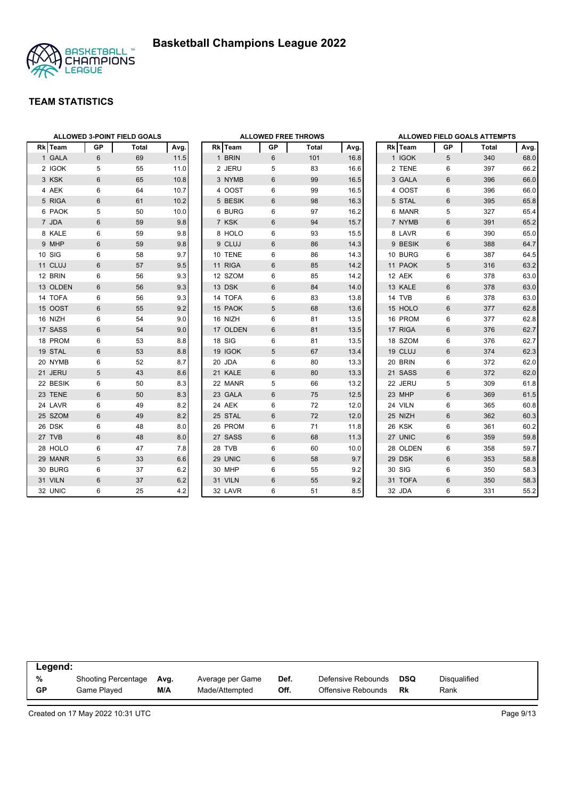

|          | ALLOWED 3-POINT FIELD GOALS |       |      |  |          |       | <b>ALLOWED FREE THROWS</b> |      | <b>ALLOWED FIELD GOALS ATTEMPTS</b> |          |                |       |      |
|----------|-----------------------------|-------|------|--|----------|-------|----------------------------|------|-------------------------------------|----------|----------------|-------|------|
| Rk Team  | GP                          | Total | Avg. |  | Rk Team  | GP    | Total                      | Avg. |                                     | Rk Team  | GP             | Total | Avg. |
| 1 GALA   | 6                           | 69    | 11.5 |  | 1 BRIN   | 6     | 101                        | 16.8 |                                     | 1 IGOK   | 5              | 340   | 68.0 |
| 2 IGOK   | 5                           | 55    | 11.0 |  | 2 JERU   | 5     | 83                         | 16.6 |                                     | 2 TENE   | 6              | 397   | 66.2 |
| 3 KSK    | 6                           | 65    | 10.8 |  | 3 NYMB   | 6     | 99                         | 16.5 |                                     | 3 GALA   | 6              | 396   | 66.0 |
| 4 AEK    | 6                           | 64    | 10.7 |  | 4 OOST   | 6     | 99                         | 16.5 |                                     | 4 OOST   | 6              | 396   | 66.0 |
| 5 RIGA   | 6                           | 61    | 10.2 |  | 5 BESIK  | 6     | 98                         | 16.3 |                                     | 5 STAL   | 6              | 395   | 65.8 |
| 6 PAOK   | 5                           | 50    | 10.0 |  | 6 BURG   | 6     | 97                         | 16.2 |                                     | 6 MANR   | 5              | 327   | 65.4 |
| 7 JDA    | 6                           | 59    | 9.8  |  | 7 KSK    | 6     | 94                         | 15.7 |                                     | 7 NYMB   | 6              | 391   | 65.2 |
| 8 KALE   | 6                           | 59    | 9.8  |  | 8 HOLO   | 6     | 93                         | 15.5 |                                     | 8 LAVR   | 6              | 390   | 65.0 |
| 9 MHP    | 6                           | 59    | 9.8  |  | 9 CLUJ   | 6     | 86                         | 14.3 |                                     | 9 BESIK  | 6              | 388   | 64.7 |
| 10 SIG   | 6                           | 58    | 9.7  |  | 10 TENE  | 6     | 86                         | 14.3 |                                     | 10 BURG  | 6              | 387   | 64.5 |
| 11 CLUJ  | 6                           | 57    | 9.5  |  | 11 RIGA  | 6     | 85                         | 14.2 |                                     | 11 PAOK  | 5              | 316   | 63.2 |
| 12 BRIN  | 6                           | 56    | 9.3  |  | 12 SZOM  | 6     | 85                         | 14.2 |                                     | 12 AEK   | 6              | 378   | 63.0 |
| 13 OLDEN | 6                           | 56    | 9.3  |  | 13 DSK   | 6     | 84                         | 14.0 |                                     | 13 KALE  | 6              | 378   | 63.0 |
| 14 TOFA  | 6                           | 56    | 9.3  |  | 14 TOFA  | 6     | 83                         | 13.8 |                                     | 14 TVB   | 6              | 378   | 63.0 |
| 15 OOST  | 6                           | 55    | 9.2  |  | 15 PAOK  | 5     | 68                         | 13.6 |                                     | 15 HOLO  | 6              | 377   | 62.8 |
| 16 NIZH  | 6                           | 54    | 9.0  |  | 16 NIZH  | 6     | 81                         | 13.5 |                                     | 16 PROM  | 6              | 377   | 62.8 |
| 17 SASS  | $6\phantom{1}$              | 54    | 9.0  |  | 17 OLDEN | $6\,$ | 81                         | 13.5 |                                     | 17 RIGA  | $6\phantom{1}$ | 376   | 62.7 |
| 18 PROM  | 6                           | 53    | 8.8  |  | 18 SIG   | 6     | 81                         | 13.5 |                                     | 18 SZOM  | 6              | 376   | 62.7 |
| 19 STAL  | $6\phantom{1}$              | 53    | 8.8  |  | 19 IGOK  | 5     | 67                         | 13.4 |                                     | 19 CLUJ  | 6              | 374   | 62.3 |
| 20 NYMB  | 6                           | 52    | 8.7  |  | 20 JDA   | 6     | 80                         | 13.3 |                                     | 20 BRIN  | 6              | 372   | 62.0 |
| 21 JERU  | 5                           | 43    | 8.6  |  | 21 KALE  | 6     | 80                         | 13.3 |                                     | 21 SASS  | 6              | 372   | 62.0 |
| 22 BESIK | 6                           | 50    | 8.3  |  | 22 MANR  | 5     | 66                         | 13.2 |                                     | 22 JERU  | 5              | 309   | 61.8 |
| 23 TENE  | 6                           | 50    | 8.3  |  | 23 GALA  | 6     | 75                         | 12.5 |                                     | 23 MHP   | 6              | 369   | 61.5 |
| 24 LAVR  | 6                           | 49    | 8.2  |  | 24 AEK   | 6     | 72                         | 12.0 |                                     | 24 VILN  | 6              | 365   | 60.8 |
| 25 SZOM  | 6                           | 49    | 8.2  |  | 25 STAL  | 6     | 72                         | 12.0 |                                     | 25 NIZH  | 6              | 362   | 60.3 |
| 26 DSK   | 6                           | 48    | 8.0  |  | 26 PROM  | 6     | 71                         | 11.8 |                                     | 26 KSK   | 6              | 361   | 60.2 |
| 27 TVB   | $6\phantom{1}$              | 48    | 8.0  |  | 27 SASS  | 6     | 68                         | 11.3 |                                     | 27 UNIC  | 6              | 359   | 59.8 |
| 28 HOLO  | 6                           | 47    | 7.8  |  | 28 TVB   | 6     | 60                         | 10.0 |                                     | 28 OLDEN | 6              | 358   | 59.7 |
| 29 MANR  | 5                           | 33    | 6.6  |  | 29 UNIC  | 6     | 58                         | 9.7  |                                     | 29 DSK   | 6              | 353   | 58.8 |
| 30 BURG  | 6                           | 37    | 6.2  |  | 30 MHP   | 6     | 55                         | 9.2  |                                     | 30 SIG   | 6              | 350   | 58.3 |
| 31 VILN  | $6\phantom{1}$              | 37    | 6.2  |  | 31 VILN  | 6     | 55                         | 9.2  |                                     | 31 TOFA  | 6              | 350   | 58.3 |
| 32 UNIC  | 6                           | 25    | 4.2  |  | 32 LAVR  | 6     | 51                         | 8.5  |                                     | 32 JDA   | 6              | 331   | 55.2 |

|    | Legend:             |      |                  |      |                    |            |                     |  |  |  |  |  |
|----|---------------------|------|------------------|------|--------------------|------------|---------------------|--|--|--|--|--|
| %  | Shooting Percentage | Avg. | Average per Game | Def. | Defensive Rebounds | <b>DSQ</b> | <b>Disqualified</b> |  |  |  |  |  |
| GP | Game Plaved         | M/A  | Made/Attempted   | Off. | Offensive Rebounds | Rk         | Rank                |  |  |  |  |  |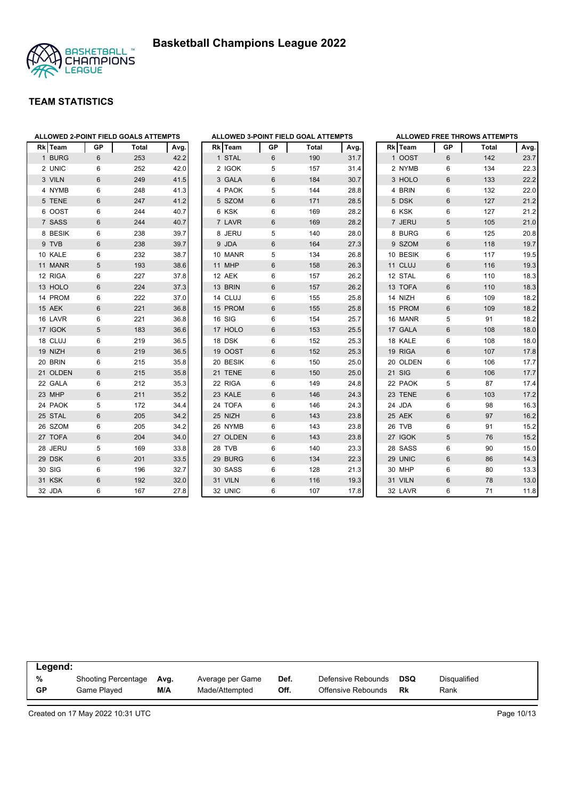



| Rkl | Team     | GP | <b>Total</b> | Avg. |  |
|-----|----------|----|--------------|------|--|
|     | 1 BURG   | 6  | 253          | 42.2 |  |
|     | 2 UNIC   | 6  | 252          | 42.0 |  |
|     | 3 VILN   | 6  | 249          | 41.5 |  |
|     | 4 NYMB   | 6  | 248          | 41.3 |  |
|     | 5 TENE   | 6  | 247          | 41.2 |  |
|     | 6 OOST   | 6  | 244          | 40.7 |  |
|     | 7 SASS   | 6  | 244          | 40.7 |  |
|     | 8 BESIK  | 6  | 238          | 39.7 |  |
|     | 9 TVB    | 6  | 238          | 39.7 |  |
|     | 10 KALE  | 6  | 232          | 38.7 |  |
|     | 11 MANR  | 5  | 193          | 38.6 |  |
|     | 12 RIGA  | 6  | 227          | 37.8 |  |
|     | 13 HOLO  | 6  | 224          | 37.3 |  |
|     | 14 PROM  | 6  | 222          | 37.0 |  |
|     | 15 AEK   | 6  | 221          | 36.8 |  |
|     | 16 LAVR  | 6  | 221          | 36.8 |  |
|     | 17 IGOK  | 5  | 183          | 36.6 |  |
|     | 18 CLUJ  | 6  | 219          | 36.5 |  |
|     | 19 NIZH  | 6  | 219          | 36.5 |  |
|     | 20 BRIN  | 6  | 215          | 35.8 |  |
|     | 21 OLDEN | 6  | 215          | 35.8 |  |
|     | 22 GALA  | 6  | 212          | 35.3 |  |
|     | 23 MHP   | 6  | 211          | 35.2 |  |
|     | 24 PAOK  | 5  | 172          | 34.4 |  |
|     | 25 STAL  | 6  | 205          | 34.2 |  |
|     | 26 SZOM  | 6  | 205          | 34.2 |  |
|     | 27 TOFA  | 6  | 204          | 34.0 |  |
|     | 28 JERU  | 5  | 169          | 33.8 |  |
|     | 29 DSK   | 6  | 201          | 33.5 |  |
|     | 30 SIG   | 6  | 196          | 32.7 |  |
|     | 31 KSK   | 6  | 192          | 32.0 |  |
|     | 32 JDA   | 6  | 167          | 27.8 |  |

|                |               |           | ALLOWED 3-POINT FIELD GOAL ATTEMPTS |      |
|----------------|---------------|-----------|-------------------------------------|------|
|                | Rk Team       | <b>GP</b> | <b>Total</b>                        | Avg. |
| $\mathbf{1}$   | <b>STAL</b>   | 6         | 190                                 | 31.7 |
|                | 2 IGOK        | 5         | 157                                 | 31.4 |
|                | 3 GALA        | 6         | 184                                 | 30.7 |
|                | 4 PAOK        | 5         | 144                                 | 28.8 |
| 5              | <b>SZOM</b>   | 6         | 171                                 | 28.5 |
|                | 6 KSK         | 6         | 169                                 | 28.2 |
| $\overline{7}$ | LAVR          | 6         | 169                                 | 28.2 |
|                | 8 JERU        | 5         | 140                                 | 28.0 |
|                | 9 JDA         | 6         | 164                                 | 27.3 |
|                | 10 MANR       | 5         | 134                                 | 26.8 |
|                | <b>11 MHP</b> | 6         | 158                                 | 26.3 |
|                | 12 AEK        | 6         | 157                                 | 26.2 |
|                | 13 BRIN       | 6         | 157                                 | 26.2 |
|                | 14 CLUJ       | 6         | 155                                 | 25.8 |
|                | 15 PROM       | 6         | 155                                 | 25.8 |
|                | 16 SIG        | 6         | 154                                 | 25.7 |
|                | 17 HOLO       | 6         | 153                                 | 25.5 |
|                | 18 DSK        | 6         | 152                                 | 25.3 |
|                | 19 OOST       | 6         | 152                                 | 25.3 |
|                | 20 BESIK      | 6         | 150                                 | 25.0 |
| 21             | <b>TENE</b>   | 6         | 150                                 | 25.0 |
|                | 22 RIGA       | 6         | 149                                 | 24.8 |
|                | 23 KALE       | 6         | 146                                 | 24.3 |
|                | 24 TOFA       | 6         | 146                                 | 24.3 |
|                | 25 NIZH       | 6         | 143                                 | 23.8 |
|                | 26 NYMB       | 6         | 143                                 | 23.8 |
|                | 27 OLDEN      | 6         | 143                                 | 23.8 |
|                | 28 TVB        | 6         | 140                                 | 23.3 |
|                | 29 BURG       | 6         | 134                                 | 22.3 |
|                | 30 SASS       | 6         | 128                                 | 21.3 |
|                | 31 VILN       | 6         | 116                                 | 19.3 |
|                | 32 UNIC       | 6         | 107                                 | 17.8 |

|                |                |           | <b>ALLOWED FREE THROWS ATTEMPTS</b> |      |
|----------------|----------------|-----------|-------------------------------------|------|
|                | <b>Rk</b> Team | <b>GP</b> | <b>Total</b>                        | Avg. |
|                | 1 OOST         | 6         | 142                                 | 23.7 |
|                | 2 NYMB         | 6         | 134                                 | 22.3 |
|                | 3 HOLO         | 6         | 133                                 | 22.2 |
| 4              | <b>BRIN</b>    | 6         | 132                                 | 22.0 |
| 5              | <b>DSK</b>     | 6         | 127                                 | 21.2 |
|                | 6 KSK          | 6         | 127                                 | 21.2 |
| $\overline{7}$ | <b>JERU</b>    | 5         | 105                                 | 21.0 |
|                | 8 BURG         | 6         | 125                                 | 20.8 |
|                | 9 SZOM         | 6         | 118                                 | 19.7 |
|                | 10 BESIK       | 6         | 117                                 | 19.5 |
|                | 11 CLUJ        | 6         | 116                                 | 19.3 |
|                | 12 STAL        | 6         | 110                                 | 18.3 |
|                | 13 TOFA        | 6         | 110                                 | 18.3 |
|                | 14 NIZH        | 6         | 109                                 | 18.2 |
|                | 15 PROM        | 6         | 109                                 | 18.2 |
|                | 16 MANR        | 5         | 91                                  | 18.2 |
|                | 17 GALA        | 6         | 108                                 | 18.0 |
|                | 18 KALE        | 6         | 108                                 | 18.0 |
|                | 19 RIGA        | 6         | 107                                 | 17.8 |
|                | 20 OLDEN       | 6         | 106                                 | 17.7 |
| 21             | <b>SIG</b>     | 6         | 106                                 | 17.7 |
|                | 22 PAOK        | 5         | 87                                  | 17.4 |
|                | 23 TENE        | 6         | 103                                 | 17.2 |
|                | 24 JDA         | 6         | 98                                  | 16.3 |
|                | 25 AEK         | 6         | 97                                  | 16.2 |
| 26             | <b>TVB</b>     | 6         | 91                                  | 15.2 |
| 27             | <b>IGOK</b>    | 5         | 76                                  | 15.2 |
|                | 28 SASS        | 6         | 90                                  | 15.0 |
|                | 29 UNIC        | 6         | 86                                  | 14.3 |
|                | 30 MHP         | 6         | 80                                  | 13.3 |
|                | 31 VILN        | 6         | 78                                  | 13.0 |
|                | 32 LAVR        | 6         | 71                                  | 11.8 |

| Legend:        |                                           |             |                                    |              |                                          |           |                      |  |
|----------------|-------------------------------------------|-------------|------------------------------------|--------------|------------------------------------------|-----------|----------------------|--|
| %<br><b>GP</b> | <b>Shooting Percentage</b><br>Game Played | Avg.<br>M/A | Average per Game<br>Made/Attempted | Def.<br>Off. | Defensive Rebounds<br>Offensive Rebounds | DSQ<br>Rk | Disqualified<br>Rank |  |
|                |                                           |             |                                    |              |                                          |           |                      |  |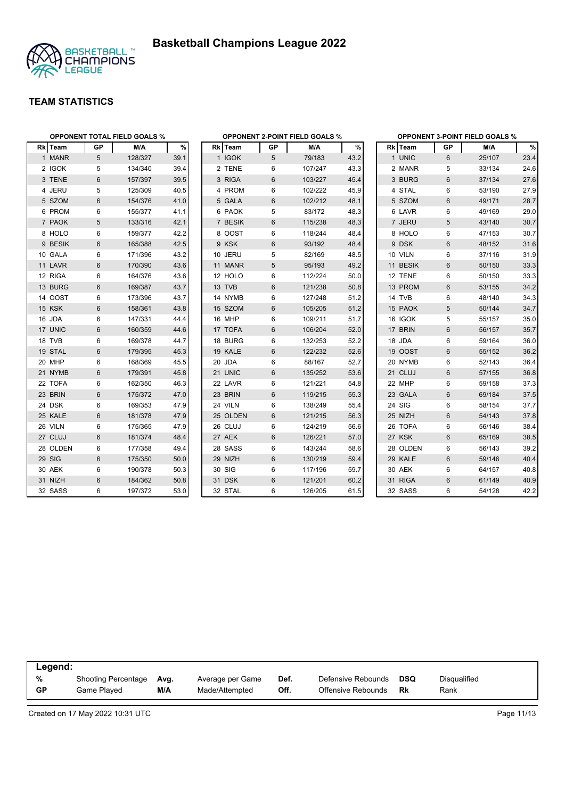



|          | <b>OPPONENT TOTAL FIELD GOALS %</b> |         |      |          |           | <b>OPPONENT 2-POINT FIELD GOALS %</b> |      | <b>OPPONENT 3-POINT FIELD GOALS %</b> |                |        |      |  |
|----------|-------------------------------------|---------|------|----------|-----------|---------------------------------------|------|---------------------------------------|----------------|--------|------|--|
| Rk Team  | <b>GP</b>                           | M/A     | %    | Rk Team  | <b>GP</b> | M/A                                   | $\%$ | Rk Team                               | GP             | M/A    | $\%$ |  |
| 1 MANR   | 5                                   | 128/327 | 39.1 | 1 IGOK   | 5         | 79/183                                | 43.2 | 1 UNIC                                | 6              | 25/107 | 23.4 |  |
| 2 IGOK   | 5                                   | 134/340 | 39.4 | 2 TENE   | 6         | 107/247                               | 43.3 | 2 MANR                                | 5              | 33/134 | 24.6 |  |
| 3 TENE   | 6                                   | 157/397 | 39.5 | 3 RIGA   | 6         | 103/227                               | 45.4 | 3 BURG                                | $6\phantom{1}$ | 37/134 | 27.6 |  |
| 4 JERU   | 5                                   | 125/309 | 40.5 | 4 PROM   | 6         | 102/222                               | 45.9 | 4 STAL                                | 6              | 53/190 | 27.9 |  |
| 5 SZOM   | $6\phantom{1}$                      | 154/376 | 41.0 | 5 GALA   | 6         | 102/212                               | 48.1 | 5 SZOM                                | $6\phantom{1}$ | 49/171 | 28.7 |  |
| 6 PROM   | 6                                   | 155/377 | 41.1 | 6 PAOK   | 5         | 83/172                                | 48.3 | 6 LAVR                                | 6              | 49/169 | 29.0 |  |
| 7 PAOK   | 5                                   | 133/316 | 42.1 | 7 BESIK  | 6         | 115/238                               | 48.3 | 7 JERU                                | 5              | 43/140 | 30.7 |  |
| 8 HOLO   | 6                                   | 159/377 | 42.2 | 8 OOST   | 6         | 118/244                               | 48.4 | 8 HOLO                                | 6              | 47/153 | 30.7 |  |
| 9 BESIK  | 6                                   | 165/388 | 42.5 | 9 KSK    | 6         | 93/192                                | 48.4 | 9 DSK                                 | 6              | 48/152 | 31.6 |  |
| 10 GALA  | 6                                   | 171/396 | 43.2 | 10 JERU  | 5         | 82/169                                | 48.5 | 10 VILN                               | 6              | 37/116 | 31.9 |  |
| 11 LAVR  | 6                                   | 170/390 | 43.6 | 11 MANR  | 5         | 95/193                                | 49.2 | 11 BESIK                              | 6              | 50/150 | 33.3 |  |
| 12 RIGA  | 6                                   | 164/376 | 43.6 | 12 HOLO  | 6         | 112/224                               | 50.0 | 12 TENE                               | 6              | 50/150 | 33.3 |  |
| 13 BURG  | 6                                   | 169/387 | 43.7 | 13 TVB   | 6         | 121/238                               | 50.8 | 13 PROM                               | 6              | 53/155 | 34.2 |  |
| 14 OOST  | 6                                   | 173/396 | 43.7 | 14 NYMB  | 6         | 127/248                               | 51.2 | 14 TVB                                | 6              | 48/140 | 34.3 |  |
| 15 KSK   | 6                                   | 158/361 | 43.8 | 15 SZOM  | 6         | 105/205                               | 51.2 | 15 PAOK                               | 5              | 50/144 | 34.7 |  |
| 16 JDA   | 6                                   | 147/331 | 44.4 | 16 MHP   | 6         | 109/211                               | 51.7 | 16 IGOK                               | 5              | 55/157 | 35.0 |  |
| 17 UNIC  | 6                                   | 160/359 | 44.6 | 17 TOFA  | 6         | 106/204                               | 52.0 | 17 BRIN                               | $6\phantom{1}$ | 56/157 | 35.7 |  |
| 18 TVB   | 6                                   | 169/378 | 44.7 | 18 BURG  | 6         | 132/253                               | 52.2 | 18 JDA                                | 6              | 59/164 | 36.0 |  |
| 19 STAL  | 6                                   | 179/395 | 45.3 | 19 KALE  | 6         | 122/232                               | 52.6 | 19 OOST                               | $6\phantom{1}$ | 55/152 | 36.2 |  |
| 20 MHP   | 6                                   | 168/369 | 45.5 | 20 JDA   | 6         | 88/167                                | 52.7 | 20 NYMB                               | 6              | 52/143 | 36.4 |  |
| 21 NYMB  | 6                                   | 179/391 | 45.8 | 21 UNIC  | 6         | 135/252                               | 53.6 | 21 CLUJ                               | $6\phantom{1}$ | 57/155 | 36.8 |  |
| 22 TOFA  | 6                                   | 162/350 | 46.3 | 22 LAVR  | 6         | 121/221                               | 54.8 | 22 MHP                                | 6              | 59/158 | 37.3 |  |
| 23 BRIN  | 6                                   | 175/372 | 47.0 | 23 BRIN  | 6         | 119/215                               | 55.3 | 23 GALA                               | $\,6\,$        | 69/184 | 37.5 |  |
| 24 DSK   | 6                                   | 169/353 | 47.9 | 24 VILN  | 6         | 138/249                               | 55.4 | 24 SIG                                | 6              | 58/154 | 37.7 |  |
| 25 KALE  | $6\phantom{1}$                      | 181/378 | 47.9 | 25 OLDEN | 6         | 121/215                               | 56.3 | 25 NIZH                               | $\,6\,$        | 54/143 | 37.8 |  |
| 26 VILN  | 6                                   | 175/365 | 47.9 | 26 CLUJ  | 6         | 124/219                               | 56.6 | 26 TOFA                               | 6              | 56/146 | 38.4 |  |
| 27 CLUJ  | $\,6\,$                             | 181/374 | 48.4 | 27 AEK   | 6         | 126/221                               | 57.0 | 27 KSK                                | $6\phantom{1}$ | 65/169 | 38.5 |  |
| 28 OLDEN | 6                                   | 177/358 | 49.4 | 28 SASS  | 6         | 143/244                               | 58.6 | 28 OLDEN                              | 6              | 56/143 | 39.2 |  |
| 29 SIG   | 6                                   | 175/350 | 50.0 | 29 NIZH  | 6         | 130/219                               | 59.4 | 29 KALE                               | $6\phantom{1}$ | 59/146 | 40.4 |  |
| 30 AEK   | 6                                   | 190/378 | 50.3 | 30 SIG   | 6         | 117/196                               | 59.7 | 30 AEK                                | 6              | 64/157 | 40.8 |  |
| 31 NIZH  | 6                                   | 184/362 | 50.8 | 31 DSK   | 6         | 121/201                               | 60.2 | 31 RIGA                               | 6              | 61/149 | 40.9 |  |
| 32 SASS  | 6                                   | 197/372 | 53.0 | 32 STAL  | 6         | 126/205                               | 61.5 | 32 SASS                               | 6              | 54/128 | 42.2 |  |

|           | Legend:                    |      |                  |      |                    |     |              |  |  |  |  |  |
|-----------|----------------------------|------|------------------|------|--------------------|-----|--------------|--|--|--|--|--|
| %         | <b>Shooting Percentage</b> | Avg. | Average per Game | Def. | Defensive Rebounds | DSQ | Disqualified |  |  |  |  |  |
| <b>GP</b> | Game Played                | M/A  | Made/Attempted   | Off. | Offensive Rebounds | Rk  | Rank         |  |  |  |  |  |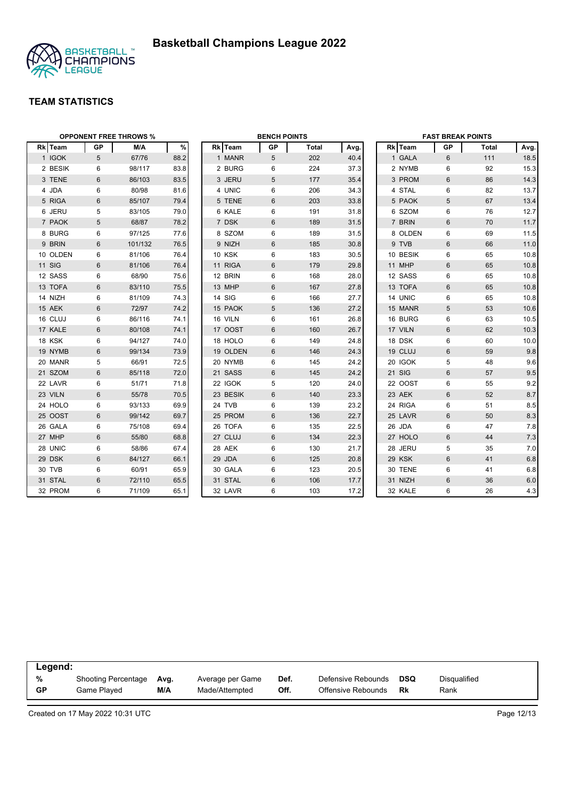

| <b>OPPONENT FREE THROWS %</b> | <b>BENCH POINTS</b> |         |      |  | <b>FAST BREAK POINTS</b> |    |              |      |          |    |              |      |
|-------------------------------|---------------------|---------|------|--|--------------------------|----|--------------|------|----------|----|--------------|------|
| Rk Team                       | GP                  | M/A     | $\%$ |  | Rk Team                  | GP | <b>Total</b> | Avg. | Rk Team  | GP | <b>Total</b> | Avg. |
| 1 IGOK                        | 5                   | 67/76   | 88.2 |  | 1 MANR                   | 5  | 202          | 40.4 | 1 GALA   | 6  | 111          | 18.5 |
| 2 BESIK                       | 6                   | 98/117  | 83.8 |  | 2 BURG                   | 6  | 224          | 37.3 | 2 NYMB   | 6  | 92           | 15.3 |
| 3 TENE                        | 6                   | 86/103  | 83.5 |  | 3 JERU                   | 5  | 177          | 35.4 | 3 PROM   | 6  | 86           | 14.3 |
| 4 JDA                         | 6                   | 80/98   | 81.6 |  | 4 UNIC                   | 6  | 206          | 34.3 | 4 STAL   | 6  | 82           | 13.7 |
| 5 RIGA                        | 6                   | 85/107  | 79.4 |  | 5 TENE                   | 6  | 203          | 33.8 | 5 PAOK   | 5  | 67           | 13.4 |
| 6 JERU                        | 5                   | 83/105  | 79.0 |  | 6 KALE                   | 6  | 191          | 31.8 | 6 SZOM   | 6  | 76           | 12.7 |
| 7 PAOK                        | 5                   | 68/87   | 78.2 |  | 7 DSK                    | 6  | 189          | 31.5 | 7 BRIN   | 6  | 70           | 11.7 |
| 8 BURG                        | 6                   | 97/125  | 77.6 |  | 8 SZOM                   | 6  | 189          | 31.5 | 8 OLDEN  | 6  | 69           | 11.5 |
| 9 BRIN                        | 6                   | 101/132 | 76.5 |  | 9 NIZH                   | 6  | 185          | 30.8 | 9 TVB    | 6  | 66           | 11.0 |
| 10 OLDEN                      | 6                   | 81/106  | 76.4 |  | <b>10 KSK</b>            | 6  | 183          | 30.5 | 10 BESIK | 6  | 65           | 10.8 |
| 11 SIG                        | 6                   | 81/106  | 76.4 |  | 11 RIGA                  | 6  | 179          | 29.8 | 11 MHP   | 6  | 65           | 10.8 |
| 12 SASS                       | 6                   | 68/90   | 75.6 |  | 12 BRIN                  | 6  | 168          | 28.0 | 12 SASS  | 6  | 65           | 10.8 |
| 13 TOFA                       | 6                   | 83/110  | 75.5 |  | 13 MHP                   | 6  | 167          | 27.8 | 13 TOFA  | 6  | 65           | 10.8 |
| 14 NIZH                       | 6                   | 81/109  | 74.3 |  | 14 SIG                   | 6  | 166          | 27.7 | 14 UNIC  | 6  | 65           | 10.8 |
| 15 AEK                        | 6                   | 72/97   | 74.2 |  | 15 PAOK                  | 5  | 136          | 27.2 | 15 MANR  | 5  | 53           | 10.6 |
| 16 CLUJ                       | 6                   | 86/116  | 74.1 |  | 16 VILN                  | 6  | 161          | 26.8 | 16 BURG  | 6  | 63           | 10.5 |
| 17 KALE                       | 6                   | 80/108  | 74.1 |  | 17 OOST                  | 6  | 160          | 26.7 | 17 VILN  | 6  | 62           | 10.3 |
| 18 KSK                        | 6                   | 94/127  | 74.0 |  | 18 HOLO                  | 6  | 149          | 24.8 | 18 DSK   | 6  | 60           | 10.0 |
| 19 NYMB                       | 6                   | 99/134  | 73.9 |  | 19 OLDEN                 | 6  | 146          | 24.3 | 19 CLUJ  | 6  | 59           | 9.8  |
| 20 MANR                       | 5                   | 66/91   | 72.5 |  | 20 NYMB                  | 6  | 145          | 24.2 | 20 IGOK  | 5  | 48           | 9.6  |
| 21 SZOM                       | 6                   | 85/118  | 72.0 |  | 21 SASS                  | 6  | 145          | 24.2 | 21 SIG   | 6  | 57           | 9.5  |
| 22 LAVR                       | 6                   | 51/71   | 71.8 |  | 22 IGOK                  | 5  | 120          | 24.0 | 22 OOST  | 6  | 55           | 9.2  |
| 23 VILN                       | $6\phantom{1}$      | 55/78   | 70.5 |  | 23 BESIK                 | 6  | 140          | 23.3 | 23 AEK   | 6  | 52           | 8.7  |
| 24 HOLO                       | 6                   | 93/133  | 69.9 |  | 24 TVB                   | 6  | 139          | 23.2 | 24 RIGA  | 6  | 51           | 8.5  |
| 25 OOST                       | 6                   | 99/142  | 69.7 |  | 25 PROM                  | 6  | 136          | 22.7 | 25 LAVR  | 6  | 50           | 8.3  |
| 26 GALA                       | 6                   | 75/108  | 69.4 |  | 26 TOFA                  | 6  | 135          | 22.5 | 26 JDA   | 6  | 47           | 7.8  |
| 27 MHP                        | 6                   | 55/80   | 68.8 |  | 27 CLUJ                  | 6  | 134          | 22.3 | 27 HOLO  | 6  | 44           | 7.3  |
| 28 UNIC                       | 6                   | 58/86   | 67.4 |  | 28 AEK                   | 6  | 130          | 21.7 | 28 JERU  | 5  | 35           | 7.0  |
| 29 DSK                        | 6                   | 84/127  | 66.1 |  | 29 JDA                   | 6  | 125          | 20.8 | 29 KSK   | 6  | 41           | 6.8  |
| 30 TVB                        | 6                   | 60/91   | 65.9 |  | 30 GALA                  | 6  | 123          | 20.5 | 30 TENE  | 6  | 41           | 6.8  |
| 31 STAL                       | 6                   | 72/110  | 65.5 |  | 31 STAL                  | 6  | 106          | 17.7 | 31 NIZH  | 6  | 36           | 6.0  |
| 32 PROM                       | 6                   | 71/109  | 65.1 |  | 32 LAVR                  | 6  | 103          | 17.2 | 32 KALE  | 6  | 26           | 4.3  |

| Legend:   |                            |      |                  |      |                    |            |              |  |  |
|-----------|----------------------------|------|------------------|------|--------------------|------------|--------------|--|--|
| %         | <b>Shooting Percentage</b> | Ava. | Average per Game | Def. | Defensive Rebounds | <b>DSQ</b> | Disqualified |  |  |
| <b>GP</b> | Game Played                | M/A  | Made/Attempted   | Off. | Offensive Rebounds | Rk         | Rank         |  |  |